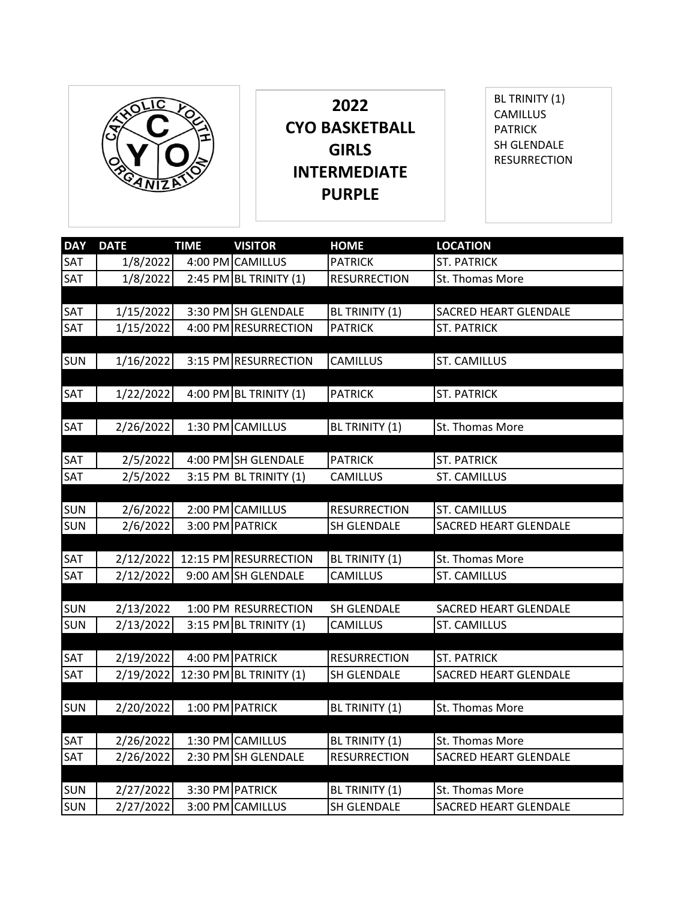

**2022 CYO BASKETBALL GIRLS INTERMEDIATE PURPLE**

BL TRINITY (1) CAMILLUS PATRICK SH GLENDALE RESURRECTION

| <b>DAY</b> | <b>DATE</b> | <b>TIME</b> | <b>VISITOR</b>           | <b>HOME</b>         | <b>LOCATION</b>              |
|------------|-------------|-------------|--------------------------|---------------------|------------------------------|
| <b>SAT</b> | 1/8/2022    | 4:00 PM     | <b>CAMILLUS</b>          | <b>PATRICK</b>      | <b>ST. PATRICK</b>           |
| SAT        | 1/8/2022    |             | 2:45 PM BL TRINITY $(1)$ | <b>RESURRECTION</b> | St. Thomas More              |
|            |             |             |                          |                     |                              |
|            |             |             |                          |                     |                              |
| SAT        | 1/15/2022   |             | 3:30 PM SH GLENDALE      | BL TRINITY (1)      | <b>SACRED HEART GLENDALE</b> |
| SAT        | 1/15/2022   |             | 4:00 PM RESURRECTION     | <b>PATRICK</b>      | <b>ST. PATRICK</b>           |
|            |             |             |                          |                     |                              |
| <b>SUN</b> | 1/16/2022   |             | 3:15 PM RESURRECTION     | CAMILLUS            | <b>ST. CAMILLUS</b>          |
|            |             |             |                          |                     |                              |
| <b>SAT</b> | 1/22/2022   |             | 4:00 PM BL TRINITY $(1)$ | <b>PATRICK</b>      | <b>ST. PATRICK</b>           |
|            |             |             |                          |                     |                              |
| <b>SAT</b> | 2/26/2022   |             | 1:30 PM CAMILLUS         | BL TRINITY (1)      | St. Thomas More              |
|            |             |             |                          |                     |                              |
| SAT        | 2/5/2022    |             | 4:00 PM SH GLENDALE      | <b>PATRICK</b>      | <b>ST. PATRICK</b>           |
| <b>SAT</b> | 2/5/2022    |             | 3:15 PM BL TRINITY (1)   | <b>CAMILLUS</b>     | <b>ST. CAMILLUS</b>          |
|            |             |             |                          |                     |                              |
| <b>SUN</b> | 2/6/2022    |             | 2:00 PM CAMILLUS         | <b>RESURRECTION</b> | <b>ST. CAMILLUS</b>          |
| <b>SUN</b> | 2/6/2022    |             | 3:00 PM PATRICK          | SH GLENDALE         | <b>SACRED HEART GLENDALE</b> |
|            |             |             |                          |                     |                              |
| SAT        | 2/12/2022   |             | 12:15 PM RESURRECTION    | BL TRINITY (1)      | St. Thomas More              |
| SAT        | 2/12/2022   |             | 9:00 AM SH GLENDALE      | CAMILLUS            | ST. CAMILLUS                 |
|            |             |             |                          |                     |                              |
| <b>SUN</b> | 2/13/2022   |             | 1:00 PM RESURRECTION     | SH GLENDALE         | <b>SACRED HEART GLENDALE</b> |
| <b>SUN</b> | 2/13/2022   |             | 3:15 PM BL TRINITY $(1)$ | <b>CAMILLUS</b>     | <b>ST. CAMILLUS</b>          |
|            |             |             |                          |                     |                              |
| <b>SAT</b> | 2/19/2022   |             | 4:00 PM PATRICK          | <b>RESURRECTION</b> | <b>ST. PATRICK</b>           |
| <b>SAT</b> | 2/19/2022   |             | 12:30 PM BL TRINITY (1)  | SH GLENDALE         | SACRED HEART GLENDALE        |
|            |             |             |                          |                     |                              |
| <b>SUN</b> | 2/20/2022   |             | 1:00 PM PATRICK          | BL TRINITY (1)      | St. Thomas More              |
|            |             |             |                          |                     |                              |
| <b>SAT</b> | 2/26/2022   |             | 1:30 PM CAMILLUS         | BL TRINITY (1)      | St. Thomas More              |
| <b>SAT</b> | 2/26/2022   |             | 2:30 PM SH GLENDALE      | <b>RESURRECTION</b> | SACRED HEART GLENDALE        |
|            |             |             |                          |                     |                              |
| <b>SUN</b> | 2/27/2022   |             | 3:30 PM PATRICK          | BL TRINITY (1)      | St. Thomas More              |
| <b>SUN</b> |             |             |                          |                     |                              |
|            | 2/27/2022   |             | 3:00 PM CAMILLUS         | SH GLENDALE         | <b>SACRED HEART GLENDALE</b> |